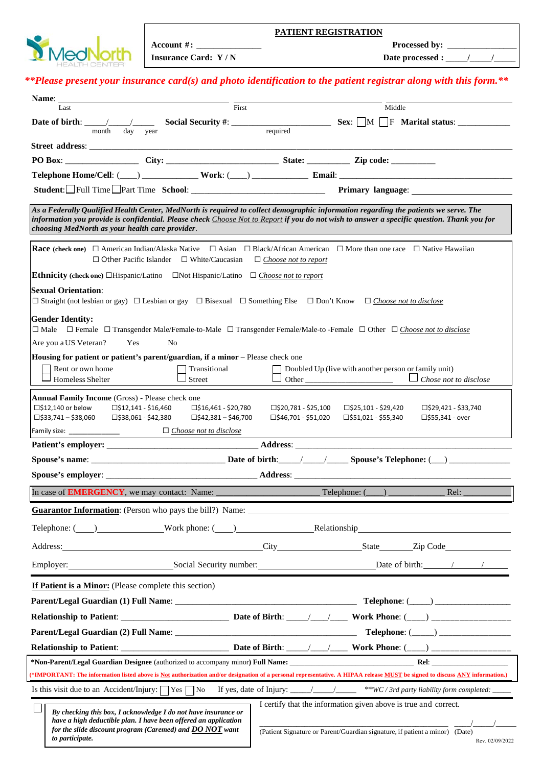| <b>D</b> MedNorth |  |
|-------------------|--|
|                   |  |

**Insurance Card: Y / N Date processed : \_\_\_\_\_/\_\_\_\_\_/\_\_\_\_\_** 

## *\*\*Please present your insurance card(s) and photo identification to the patient registrar along with this form.\*\**

| Name: _<br>First<br>Last                                                                                                                                                                                                                                                                                                                                                                                                                                                    | Middle                                                                                                                                                                                                                        |  |  |  |
|-----------------------------------------------------------------------------------------------------------------------------------------------------------------------------------------------------------------------------------------------------------------------------------------------------------------------------------------------------------------------------------------------------------------------------------------------------------------------------|-------------------------------------------------------------------------------------------------------------------------------------------------------------------------------------------------------------------------------|--|--|--|
|                                                                                                                                                                                                                                                                                                                                                                                                                                                                             |                                                                                                                                                                                                                               |  |  |  |
| day<br>month<br>year                                                                                                                                                                                                                                                                                                                                                                                                                                                        | required                                                                                                                                                                                                                      |  |  |  |
|                                                                                                                                                                                                                                                                                                                                                                                                                                                                             |                                                                                                                                                                                                                               |  |  |  |
|                                                                                                                                                                                                                                                                                                                                                                                                                                                                             |                                                                                                                                                                                                                               |  |  |  |
|                                                                                                                                                                                                                                                                                                                                                                                                                                                                             |                                                                                                                                                                                                                               |  |  |  |
|                                                                                                                                                                                                                                                                                                                                                                                                                                                                             |                                                                                                                                                                                                                               |  |  |  |
| As a Federally Qualified Health Center, MedNorth is required to collect demographic information regarding the patients we serve. The<br>information you provide is confidential. Please check Choose Not to Report if you do not wish to answer a specific question. Thank you for<br>choosing MedNorth as your health care provider.                                                                                                                                       |                                                                                                                                                                                                                               |  |  |  |
| <b>Race</b> (check one) $\Box$ American Indian/Alaska Native $\Box$ Asian $\Box$ Black/African American $\Box$ More than one race $\Box$ Native Hawaiian<br>$\Box$ Other Pacific Islander $\Box$ White/Caucasian<br>$\Box$ Choose not to report                                                                                                                                                                                                                             |                                                                                                                                                                                                                               |  |  |  |
| <b>Ethnicity</b> (check one) □Hispanic/Latino □Not Hispanic/Latino □ Choose not to report                                                                                                                                                                                                                                                                                                                                                                                   |                                                                                                                                                                                                                               |  |  |  |
| <b>Sexual Orientation:</b><br>$\Box$ Straight (not lesbian or gay) $\Box$ Lesbian or gay $\Box$ Bisexual $\Box$ Something Else $\Box$ Don't Know $\Box$ Choose not to disclose                                                                                                                                                                                                                                                                                              |                                                                                                                                                                                                                               |  |  |  |
| <b>Gender Identity:</b><br>□ Male □ Female □ Transgender Male/Female-to-Male □ Transgender Female/Male-to -Female □ Other □ Choose not to disclose<br>Are you a US Veteran?<br>Yes<br>N <sub>0</sub><br>Housing for patient or patient's parent/guardian, if a minor - Please check one                                                                                                                                                                                     |                                                                                                                                                                                                                               |  |  |  |
| Rent or own home<br>Transitional<br>Homeless Shelter<br>Street                                                                                                                                                                                                                                                                                                                                                                                                              | Doubled Up (live with another person or family unit)<br>$\Box$ Chose not to disclose                                                                                                                                          |  |  |  |
| <b>Annual Family Income (Gross) - Please check one</b><br>$\square$ \$12,140 or below $\square$ \$12,141 - \$16,460<br>$\square$ \$16,461 - \$20,780<br>□\$20,781 - \$25,100<br>□\$25,101 - \$29,420<br>□\$29,421 - \$33,740<br>$\Box$ \$42,381 - \$46,700<br>$\square$ \$46,701 - \$51,020<br>$\square$ \$33,741 – \$38,060<br>□\$38,061 - \$42,380<br>$\square$ \$51,021 - \$55,340<br>□\$55,341 - over<br>$\Box$ Choose not to disclose<br>Family size: ________________ |                                                                                                                                                                                                                               |  |  |  |
|                                                                                                                                                                                                                                                                                                                                                                                                                                                                             |                                                                                                                                                                                                                               |  |  |  |
|                                                                                                                                                                                                                                                                                                                                                                                                                                                                             |                                                                                                                                                                                                                               |  |  |  |
|                                                                                                                                                                                                                                                                                                                                                                                                                                                                             |                                                                                                                                                                                                                               |  |  |  |
|                                                                                                                                                                                                                                                                                                                                                                                                                                                                             | Rel:                                                                                                                                                                                                                          |  |  |  |
| <b>Guarantor Information:</b> (Person who pays the bill?) Name:                                                                                                                                                                                                                                                                                                                                                                                                             |                                                                                                                                                                                                                               |  |  |  |
|                                                                                                                                                                                                                                                                                                                                                                                                                                                                             | Telephone: ( ) Work phone: ( ) Relationship Relationship                                                                                                                                                                      |  |  |  |
|                                                                                                                                                                                                                                                                                                                                                                                                                                                                             | Address: City Code City State Zip Code City State City State City State City State City Code City State City Code City State City State City Code City State City Code City Code City Code City Code City Code City Code City |  |  |  |
|                                                                                                                                                                                                                                                                                                                                                                                                                                                                             |                                                                                                                                                                                                                               |  |  |  |
| <b>If Patient is a Minor:</b> (Please complete this section)                                                                                                                                                                                                                                                                                                                                                                                                                |                                                                                                                                                                                                                               |  |  |  |
|                                                                                                                                                                                                                                                                                                                                                                                                                                                                             |                                                                                                                                                                                                                               |  |  |  |
|                                                                                                                                                                                                                                                                                                                                                                                                                                                                             |                                                                                                                                                                                                                               |  |  |  |
|                                                                                                                                                                                                                                                                                                                                                                                                                                                                             |                                                                                                                                                                                                                               |  |  |  |
|                                                                                                                                                                                                                                                                                                                                                                                                                                                                             |                                                                                                                                                                                                                               |  |  |  |
|                                                                                                                                                                                                                                                                                                                                                                                                                                                                             |                                                                                                                                                                                                                               |  |  |  |
|                                                                                                                                                                                                                                                                                                                                                                                                                                                                             | (*IMPORTANT: The information listed above is Not authorization and/or designation of a personal representative. A HIPAA release MUST be signed to discuss ANY information.)                                                   |  |  |  |
|                                                                                                                                                                                                                                                                                                                                                                                                                                                                             |                                                                                                                                                                                                                               |  |  |  |
| By checking this box, I acknowledge I do not have insurance or<br>have a high deductible plan. I have been offered an application<br>for the slide discount program (Caremed) and <b>DO NOT</b> want<br>to participate.                                                                                                                                                                                                                                                     | I certify that the information given above is true and correct.<br>(Patient Signature or Parent/Guardian signature, if patient a minor) (Date)<br>Rev. 02/09/2022                                                             |  |  |  |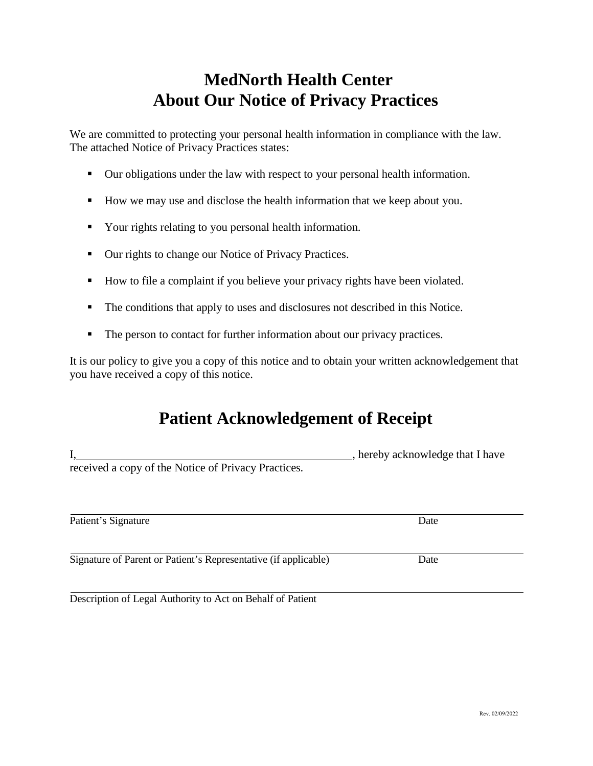# **MedNorth Health Center About Our Notice of Privacy Practices**

We are committed to protecting your personal health information in compliance with the law. The attached Notice of Privacy Practices states:

- Our obligations under the law with respect to your personal health information.
- How we may use and disclose the health information that we keep about you.
- Your rights relating to you personal health information.
- Our rights to change our Notice of Privacy Practices.
- How to file a complaint if you believe your privacy rights have been violated.
- The conditions that apply to uses and disclosures not described in this Notice.
- The person to contact for further information about our privacy practices.

It is our policy to give you a copy of this notice and to obtain your written acknowledgement that you have received a copy of this notice.

## **Patient Acknowledgement of Receipt**

|                                                                 | , hereby acknowledge that I have |
|-----------------------------------------------------------------|----------------------------------|
| received a copy of the Notice of Privacy Practices.             |                                  |
|                                                                 |                                  |
|                                                                 |                                  |
| Patient's Signature                                             | Date                             |
|                                                                 |                                  |
| Signature of Parent or Patient's Representative (if applicable) | Date                             |

Description of Legal Authority to Act on Behalf of Patient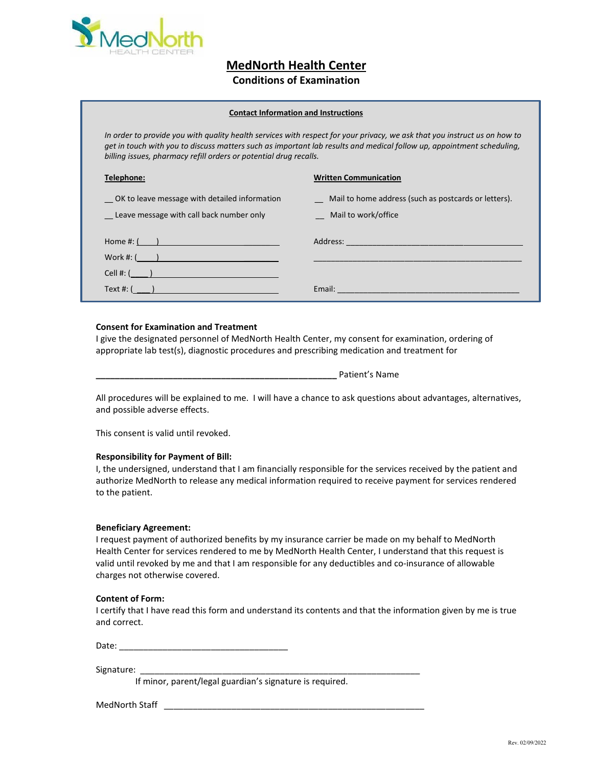

**MedNorth Health Center**

## **Conditions of Examination**

## **Contact Information and Instructions**

*In order to provide you with quality health services with respect for your privacy, we ask that you instruct us on how to get in touch with you to discuss matters such as important lab results and medical follow up, appointment scheduling, billing issues, pharmacy refill orders or potential drug recalls.*

## **Telephone: Written Communication**

| 1.4.4                                                                                     |                                                                                                                                 |
|-------------------------------------------------------------------------------------------|---------------------------------------------------------------------------------------------------------------------------------|
| OK to leave message with detailed information<br>Leave message with call back number only | Mail to home address (such as postcards or letters).<br>Mail to work/office                                                     |
| Home #: $($ $)$                                                                           |                                                                                                                                 |
| Work #: (                                                                                 |                                                                                                                                 |
| $Cell \#:$ ( )                                                                            |                                                                                                                                 |
| Text #: (                                                                                 | Email:<br><u> 1989 - Jan Sterling Sterling av den stad ble stad ble stad ble stad ble stad ble stad ble stad ble stad ble s</u> |

## **Consent for Examination and Treatment**

I give the designated personnel of MedNorth Health Center, my consent for examination, ordering of appropriate lab test(s), diagnostic procedures and prescribing medication and treatment for

All procedures will be explained to me. I will have a chance to ask questions about advantages, alternatives, and possible adverse effects.

**\_\_\_\_\_\_\_\_\_\_\_\_\_\_\_\_\_\_\_\_\_\_\_\_\_\_\_\_\_\_\_\_\_\_\_\_\_\_\_\_\_\_\_\_\_\_\_\_\_\_** Patient's Name

This consent is valid until revoked.

#### **Responsibility for Payment of Bill:**

I, the undersigned, understand that I am financially responsible for the services received by the patient and authorize MedNorth to release any medical information required to receive payment for services rendered to the patient.

#### **Beneficiary Agreement:**

I request payment of authorized benefits by my insurance carrier be made on my behalf to MedNorth Health Center for services rendered to me by MedNorth Health Center, I understand that this request is valid until revoked by me and that I am responsible for any deductibles and co-insurance of allowable charges not otherwise covered.

### **Content of Form:**

I certify that I have read this form and understand its contents and that the information given by me is true and correct.

Date: \_\_\_\_\_\_\_\_\_\_\_\_\_\_\_\_\_\_\_\_\_\_\_\_\_\_\_\_\_\_\_\_\_\_\_

Signature:

If minor, parent/legal guardian's signature is required.

MedNorth Staff \_\_\_\_\_\_\_\_\_\_\_\_\_\_\_\_\_\_\_\_\_\_\_\_\_\_\_\_\_\_\_\_\_\_\_\_\_\_\_\_\_\_\_\_\_\_\_\_\_\_\_\_\_\_